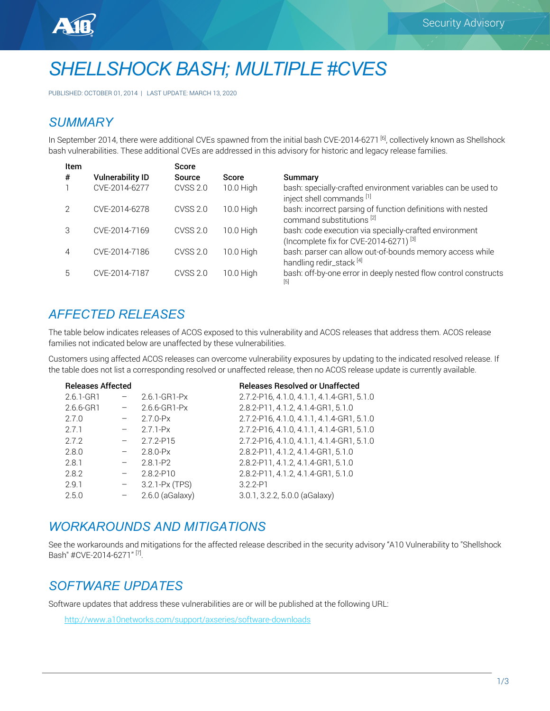



PUBLISHED: OCTOBER 01, 2014 | LAST UPDATE: MARCH 13, 2020

# *SUMMARY*

In September 2014, there were additional CVEs spawned from the initial bash CVE-2014-6271 <sup>[6]</sup>, collectively known as Shellshock bash vulnerabilities. These additional CVEs are addressed in this advisory for historic and legacy release families.

| Item          |                         | <b>Score</b>    |              |                                                                                                             |
|---------------|-------------------------|-----------------|--------------|-------------------------------------------------------------------------------------------------------------|
| #             | <b>Vulnerability ID</b> | <b>Source</b>   | <b>Score</b> | Summary                                                                                                     |
|               | CVE-2014-6277           | CVSS 2.0        | 10.0 High    | bash: specially-crafted environment variables can be used to<br>inject shell commands [1]                   |
|               | CVE-2014-6278           | <b>CVSS 2.0</b> | 10.0 High    | bash: incorrect parsing of function definitions with nested<br>command substitutions <sup>[2]</sup>         |
|               | CVE-2014-7169           | <b>CVSS 2.0</b> | 10.0 High    | bash: code execution via specially-crafted environment<br>(Incomplete fix for CVE-2014-6271) <sup>[3]</sup> |
| 4             | CVE-2014-7186           | CVSS 2.0        | 10.0 High    | bash: parser can allow out-of-bounds memory access while<br>handling redir_stack [4]                        |
| $\mathfrak b$ | CVE-2014-7187           | <b>CVSS 2.0</b> | 10.0 High    | bash: off-by-one error in deeply nested flow control constructs<br>[5]                                      |

# *AFFECTED RELEASES*

The table below indicates releases of ACOS exposed to this vulnerability and ACOS releases that address them. ACOS release families not indicated below are unaffected by these vulnerabilities.

Customers using affected ACOS releases can overcome vulnerability exposures by updating to the indicated resolved release. If the table does not list a corresponding resolved or unaffected release, then no ACOS release update is currently available.

| <b>Releases Affected</b> |                   | <b>Releases Resolved or Unaffected</b>    |
|--------------------------|-------------------|-------------------------------------------|
|                          | 2.6.1-GR1-Px      | 2.7.2-P16, 4.1.0, 4.1.1, 4.1.4-GR1, 5.1.0 |
| $ \,$                    | 2.6.6-GR1-Px      | 2.8.2-P11, 4.1.2, 4.1.4-GR1, 5.1.0        |
|                          | $2.7.0-Px$        | 2.7.2-P16, 4.1.0, 4.1.1, 4.1.4-GR1, 5.1.0 |
| $\qquad \qquad -$        | $2.7.1-Px$        | 2.7.2-P16, 4.1.0, 4.1.1, 4.1.4-GR1, 5.1.0 |
| $\qquad \qquad -$        | 2.7.2-P15         | 2.7.2-P16, 4.1.0, 4.1.1, 4.1.4-GR1, 5.1.0 |
| $\overline{\phantom{a}}$ | $2.8.0-Px$        | 2.8.2-P11, 4.1.2, 4.1.4-GR1, 5.1.0        |
| $\overline{\phantom{m}}$ | $2.8.1 - P2$      | 2.8.2-P11, 4.1.2, 4.1.4-GR1, 5.1.0        |
| $\qquad \qquad -$        | $2.8.2 - P10$     | 2.8.2-P11, 4.1.2, 4.1.4-GR1, 5.1.0        |
| $\qquad \qquad -$        | 3.2.1-Px (TPS)    | $3.2.2 - P1$                              |
| $\overline{\phantom{0}}$ | $2.6.0$ (aGalaxy) | $3.0.1$ , $3.2.2$ , $5.0.0$ (aGalaxy)     |
|                          |                   |                                           |

## *WORKAROUNDS AND MITIGATIONS*

See the workarounds and mitigations for the affected release described in the security advisory "A10 Vulnerability to "Shellshock Bash" #CVE-2014-6271"<sup>[7]</sup>.

# *SOFTWARE UPDATES*

Software updates that address these vulnerabilities are or will be published at the following URL:

http://www.a10networks.com/support/axseries/software-downloads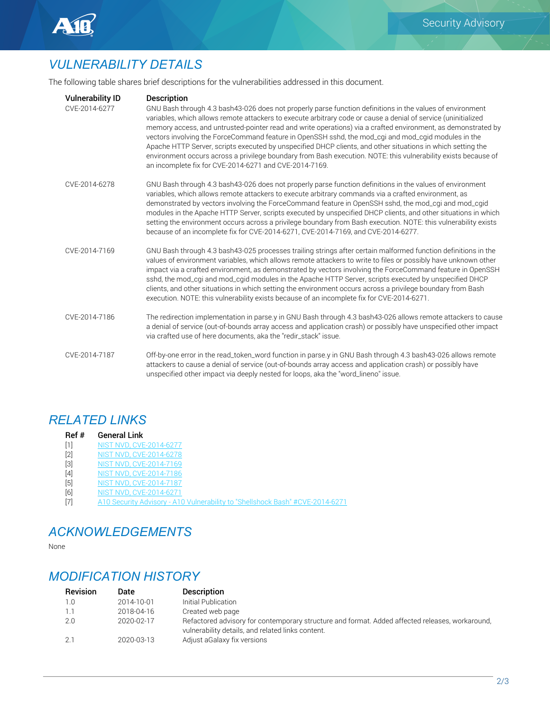

# *VULNERABILITY DETAILS*

The following table shares brief descriptions for the vulnerabilities addressed in this document.

| <b>Vulnerability ID</b><br>CVE-2014-6277 | <b>Description</b><br>GNU Bash through 4.3 bash43-026 does not properly parse function definitions in the values of environment<br>variables, which allows remote attackers to execute arbitrary code or cause a denial of service (uninitialized<br>memory access, and untrusted-pointer read and write operations) via a crafted environment, as demonstrated by<br>vectors involving the ForceCommand feature in OpenSSH sshd, the mod_cgi and mod_cgid modules in the<br>Apache HTTP Server, scripts executed by unspecified DHCP clients, and other situations in which setting the<br>environment occurs across a privilege boundary from Bash execution. NOTE: this vulnerability exists because of<br>an incomplete fix for CVE-2014-6271 and CVE-2014-7169. |
|------------------------------------------|----------------------------------------------------------------------------------------------------------------------------------------------------------------------------------------------------------------------------------------------------------------------------------------------------------------------------------------------------------------------------------------------------------------------------------------------------------------------------------------------------------------------------------------------------------------------------------------------------------------------------------------------------------------------------------------------------------------------------------------------------------------------|
| CVE-2014-6278                            | GNU Bash through 4.3 bash43-026 does not properly parse function definitions in the values of environment<br>variables, which allows remote attackers to execute arbitrary commands via a crafted environment, as<br>demonstrated by vectors involving the ForceCommand feature in OpenSSH sshd, the mod_cgi and mod_cgid<br>modules in the Apache HTTP Server, scripts executed by unspecified DHCP clients, and other situations in which<br>setting the environment occurs across a privilege boundary from Bash execution. NOTE: this vulnerability exists<br>because of an incomplete fix for CVE-2014-6271, CVE-2014-7169, and CVE-2014-6277.                                                                                                                  |
| CVF-2014-7169                            | GNU Bash through 4.3 bash43-025 processes trailing strings after certain malformed function definitions in the<br>values of environment variables, which allows remote attackers to write to files or possibly have unknown other<br>impact via a crafted environment, as demonstrated by vectors involving the ForceCommand feature in OpenSSH<br>sshd, the mod_cgi and mod_cgid modules in the Apache HTTP Server, scripts executed by unspecified DHCP<br>clients, and other situations in which setting the environment occurs across a privilege boundary from Bash<br>execution. NOTE: this vulnerability exists because of an incomplete fix for CVE-2014-6271.                                                                                               |
| CVE-2014-7186                            | The redirection implementation in parse.y in GNU Bash through 4.3 bash43-026 allows remote attackers to cause<br>a denial of service (out-of-bounds array access and application crash) or possibly have unspecified other impact<br>via crafted use of here documents, aka the "redir_stack" issue.                                                                                                                                                                                                                                                                                                                                                                                                                                                                 |
| CVE-2014-7187                            | Off-by-one error in the read_token_word function in parse.y in GNU Bash through 4.3 bash43-026 allows remote<br>attackers to cause a denial of service (out-of-bounds array access and application crash) or possibly have<br>unspecified other impact via deeply nested for loops, aka the "word_lineno" issue.                                                                                                                                                                                                                                                                                                                                                                                                                                                     |

## *RELATED LINKS*

- Ref # General Link
- [1] NIST NVD, CVE-2014-6277<br>[2] NIST NVD, CVE-2014-6278
- [2] NIST NVD, CVE-2014-6278<br>[3] NIST NVD, CVE-2014-7169 NIST NVD, CVE-2014-7169
- [4] NIST NVD, CVE-2014-7186
- [5] NIST NVD, CVE-2014-7187
- [6] NIST NVD, CVE-2014-6271
- [7] A10 Security Advisory A10 Vulnerability to "Shellshock Bash" #CVE-2014-6271

## *ACKNOWLEDGEMENTS*

None

# *MODIFICATION HISTORY*

| <b>Revision</b> | Date       | <b>Description</b>                                                                                                                                   |
|-----------------|------------|------------------------------------------------------------------------------------------------------------------------------------------------------|
| 1.0             | 2014-10-01 | Initial Publication                                                                                                                                  |
| 1.1             | 2018-04-16 | Created web page                                                                                                                                     |
| 2.0             | 2020-02-17 | Refactored advisory for contemporary structure and format. Added affected releases, workaround,<br>vulnerability details, and related links content. |
| 2.1             | 2020-03-13 | Adjust aGalaxy fix versions                                                                                                                          |